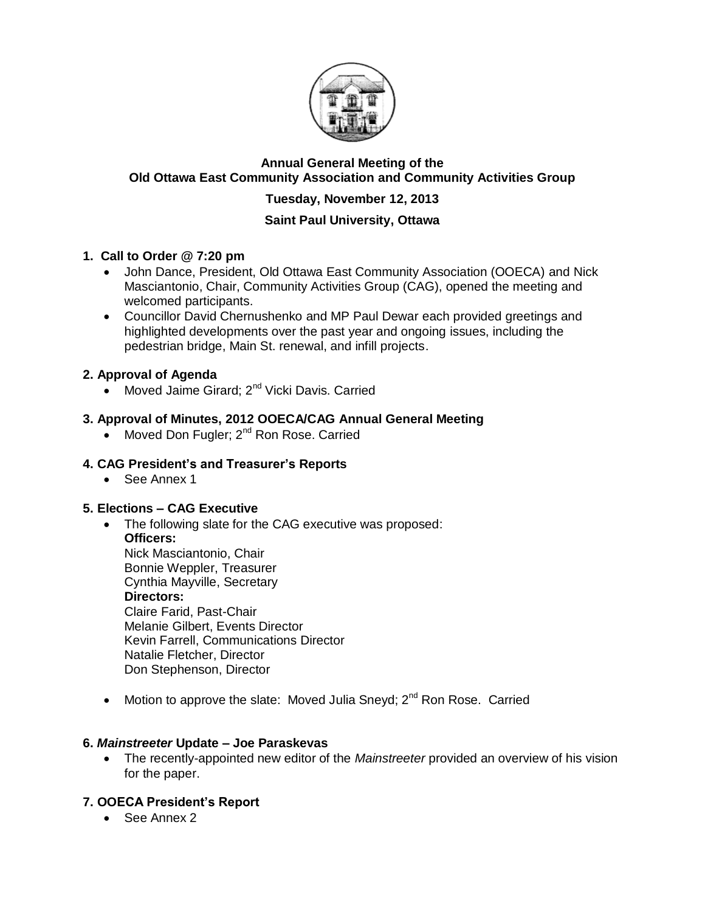

## **Annual General Meeting of the Old Ottawa East Community Association and Community Activities Group**

# **Tuesday, November 12, 2013**

## **Saint Paul University, Ottawa**

## **1. Call to Order @ 7:20 pm**

- John Dance, President, Old Ottawa East Community Association (OOECA) and Nick Masciantonio, Chair, Community Activities Group (CAG), opened the meeting and welcomed participants.
- Councillor David Chernushenko and MP Paul Dewar each provided greetings and highlighted developments over the past year and ongoing issues, including the pedestrian bridge, Main St. renewal, and infill projects.

## **2. Approval of Agenda**

• Moved Jaime Girard; 2<sup>nd</sup> Vicki Davis. Carried

## **3. Approval of Minutes, 2012 OOECA/CAG Annual General Meeting**

• Moved Don Fugler; 2<sup>nd</sup> Ron Rose. Carried

## **4. CAG President's and Treasurer's Reports**

See Annex 1

## **5. Elections – CAG Executive**

- The following slate for the CAG executive was proposed: **Officers:** Nick Masciantonio, Chair Bonnie Weppler, Treasurer Cynthia Mayville, Secretary **Directors:** Claire Farid, Past-Chair Melanie Gilbert, Events Director Kevin Farrell, Communications Director Natalie Fletcher, Director Don Stephenson, Director
- Motion to approve the slate: Moved Julia Sneyd;  $2^{nd}$  Ron Rose. Carried

## **6.** *Mainstreeter* **Update – Joe Paraskevas**

 The recently-appointed new editor of the *Mainstreeter* provided an overview of his vision for the paper.

# **7. OOECA President's Report**

• See Annex 2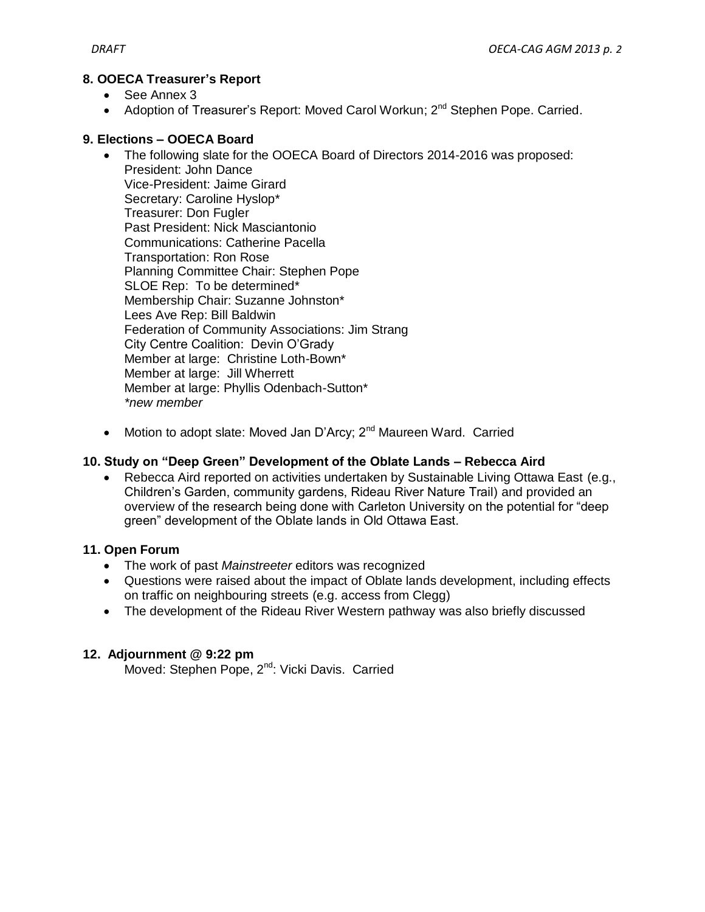#### **8. OOECA Treasurer's Report**

- See Annex 3
- Adoption of Treasurer's Report: Moved Carol Workun; 2<sup>nd</sup> Stephen Pope. Carried.

#### **9. Elections – OOECA Board**

- The following slate for the OOECA Board of Directors 2014-2016 was proposed: President: John Dance Vice-President: Jaime Girard Secretary: Caroline Hyslop\* Treasurer: Don Fugler Past President: Nick Masciantonio Communications: Catherine Pacella Transportation: Ron Rose Planning Committee Chair: Stephen Pope SLOE Rep: To be determined\* Membership Chair: Suzanne Johnston\* Lees Ave Rep: Bill Baldwin Federation of Community Associations: Jim Strang City Centre Coalition: Devin O'Grady Member at large: Christine Loth-Bown\* Member at large: Jill Wherrett Member at large: Phyllis Odenbach-Sutton\* *\*new member*
- Motion to adopt slate: Moved Jan D'Arcy: 2<sup>nd</sup> Maureen Ward. Carried

#### **10. Study on "Deep Green" Development of the Oblate Lands – Rebecca Aird**

 Rebecca Aird reported on activities undertaken by Sustainable Living Ottawa East (e.g., Children's Garden, community gardens, Rideau River Nature Trail) and provided an overview of the research being done with Carleton University on the potential for "deep green" development of the Oblate lands in Old Ottawa East.

#### **11. Open Forum**

- The work of past *Mainstreeter* editors was recognized
- Questions were raised about the impact of Oblate lands development, including effects on traffic on neighbouring streets (e.g. access from Clegg)
- The development of the Rideau River Western pathway was also briefly discussed

#### **12. Adjournment @ 9:22 pm**

Moved: Stephen Pope, 2<sup>nd</sup>: Vicki Davis. Carried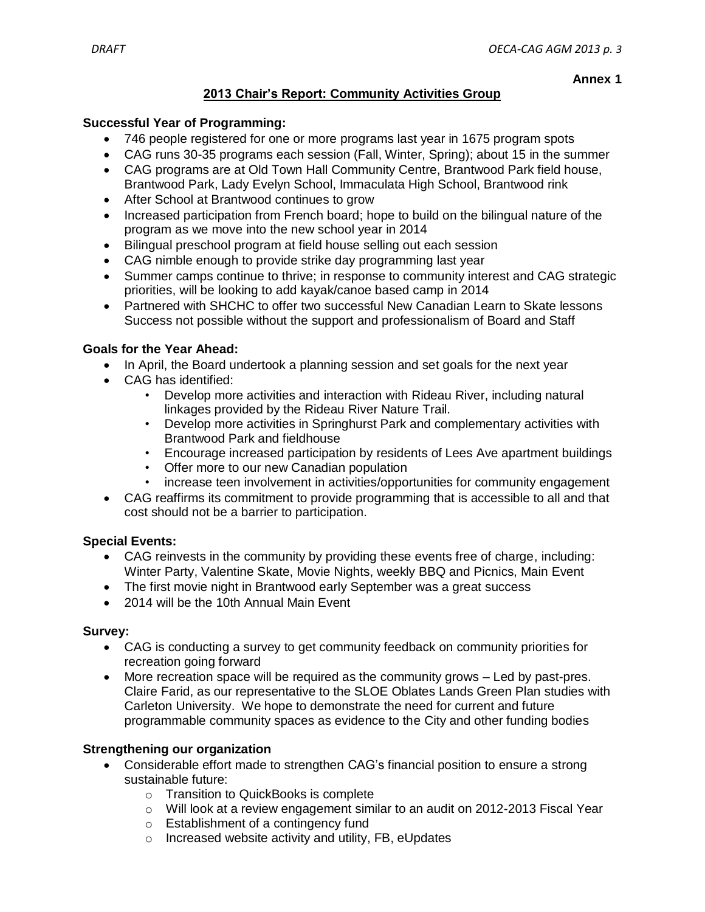#### **Annex 1**

## **2013 Chair's Report: Community Activities Group**

#### **Successful Year of Programming:**

- 746 people registered for one or more programs last year in 1675 program spots
- CAG runs 30-35 programs each session (Fall, Winter, Spring); about 15 in the summer
- CAG programs are at Old Town Hall Community Centre, Brantwood Park field house, Brantwood Park, Lady Evelyn School, Immaculata High School, Brantwood rink
- After School at Brantwood continues to grow
- Increased participation from French board; hope to build on the bilingual nature of the program as we move into the new school year in 2014
- Bilingual preschool program at field house selling out each session
- CAG nimble enough to provide strike day programming last year
- Summer camps continue to thrive; in response to community interest and CAG strategic priorities, will be looking to add kayak/canoe based camp in 2014
- Partnered with SHCHC to offer two successful New Canadian Learn to Skate lessons Success not possible without the support and professionalism of Board and Staff

#### **Goals for the Year Ahead:**

- In April, the Board undertook a planning session and set goals for the next year
- CAG has identified:
	- Develop more activities and interaction with Rideau River, including natural linkages provided by the Rideau River Nature Trail.
	- Develop more activities in Springhurst Park and complementary activities with Brantwood Park and fieldhouse
	- Encourage increased participation by residents of Lees Ave apartment buildings
	- Offer more to our new Canadian population
	- increase teen involvement in activities/opportunities for community engagement
- CAG reaffirms its commitment to provide programming that is accessible to all and that cost should not be a barrier to participation.

#### **Special Events:**

- CAG reinvests in the community by providing these events free of charge, including: Winter Party, Valentine Skate, Movie Nights, weekly BBQ and Picnics, Main Event
- The first movie night in Brantwood early September was a great success
- 2014 will be the 10th Annual Main Event

#### **Survey:**

- CAG is conducting a survey to get community feedback on community priorities for recreation going forward
- More recreation space will be required as the community grows Led by past-pres. Claire Farid, as our representative to the SLOE Oblates Lands Green Plan studies with Carleton University. We hope to demonstrate the need for current and future programmable community spaces as evidence to the City and other funding bodies

## **Strengthening our organization**

- Considerable effort made to strengthen CAG's financial position to ensure a strong sustainable future:
	- o Transition to QuickBooks is complete
	- $\circ$  Will look at a review engagement similar to an audit on 2012-2013 Fiscal Year
	- o Establishment of a contingency fund
	- o Increased website activity and utility, FB, eUpdates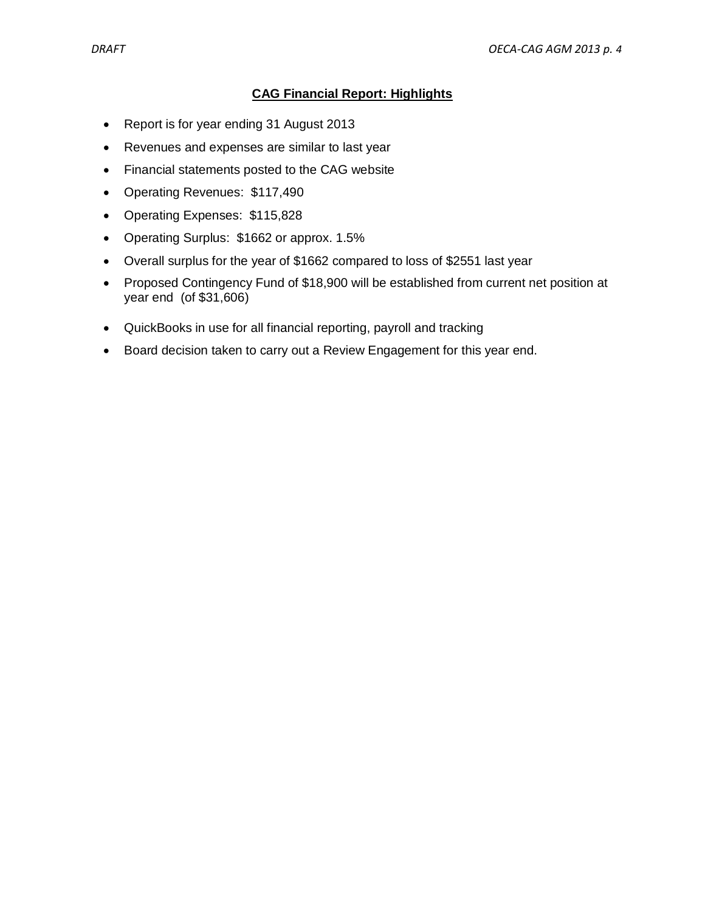## **CAG Financial Report: Highlights**

- Report is for year ending 31 August 2013
- Revenues and expenses are similar to last year
- Financial statements posted to the CAG website
- Operating Revenues: \$117,490
- Operating Expenses: \$115,828
- Operating Surplus: \$1662 or approx. 1.5%
- Overall surplus for the year of \$1662 compared to loss of \$2551 last year
- Proposed Contingency Fund of \$18,900 will be established from current net position at year end (of \$31,606)
- QuickBooks in use for all financial reporting, payroll and tracking
- Board decision taken to carry out a Review Engagement for this year end.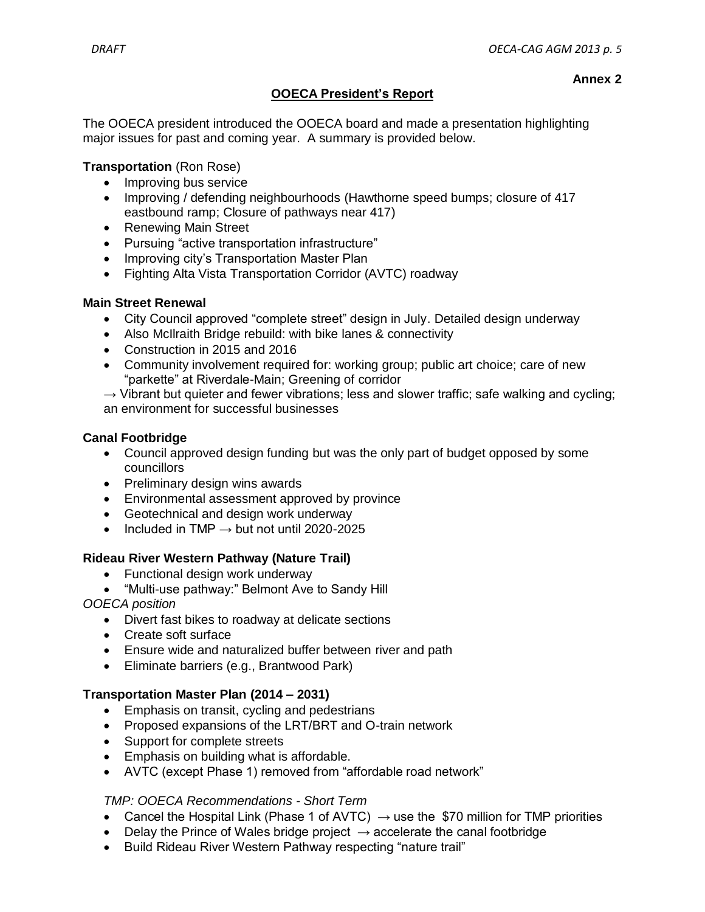**Annex 2**

# **OOECA President's Report**

The OOECA president introduced the OOECA board and made a presentation highlighting major issues for past and coming year. A summary is provided below.

#### **Transportation** (Ron Rose)

- Improving bus service
- Improving / defending neighbourhoods (Hawthorne speed bumps: closure of 417 eastbound ramp; Closure of pathways near 417)
- Renewing Main Street
- Pursuing "active transportation infrastructure"
- Improving city's Transportation Master Plan
- Fighting Alta Vista Transportation Corridor (AVTC) roadway

## **Main Street Renewal**

- City Council approved "complete street" design in July. Detailed design underway
- Also McIlraith Bridge rebuild: with bike lanes & connectivity
- Construction in 2015 and 2016
- Community involvement required for: working group; public art choice; care of new "parkette" at Riverdale-Main; Greening of corridor
- $\rightarrow$  Vibrant but quieter and fewer vibrations; less and slower traffic; safe walking and cycling; an environment for successful businesses

#### **Canal Footbridge**

- Council approved design funding but was the only part of budget opposed by some councillors
- Preliminary design wins awards
- Environmental assessment approved by province
- Geotechnical and design work underway
- Included in TMP  $\rightarrow$  but not until 2020-2025

## **Rideau River Western Pathway (Nature Trail)**

- Functional design work underway
- "Multi-use pathway:" Belmont Ave to Sandy Hill
- *OOECA position*
	- Divert fast bikes to roadway at delicate sections
	- Create soft surface
	- Ensure wide and naturalized buffer between river and path
	- Eliminate barriers (e.g., Brantwood Park)

## **Transportation Master Plan (2014 – 2031)**

- **Emphasis on transit, cycling and pedestrians**
- Proposed expansions of the LRT/BRT and O-train network
- Support for complete streets
- Emphasis on building what is affordable.
- AVTC (except Phase 1) removed from "affordable road network"

## *TMP: OOECA Recommendations - Short Term*

- Cancel the Hospital Link (Phase 1 of AVTC)  $\rightarrow$  use the \$70 million for TMP priorities
- Delay the Prince of Wales bridge project  $\rightarrow$  accelerate the canal footbridge
- Build Rideau River Western Pathway respecting "nature trail"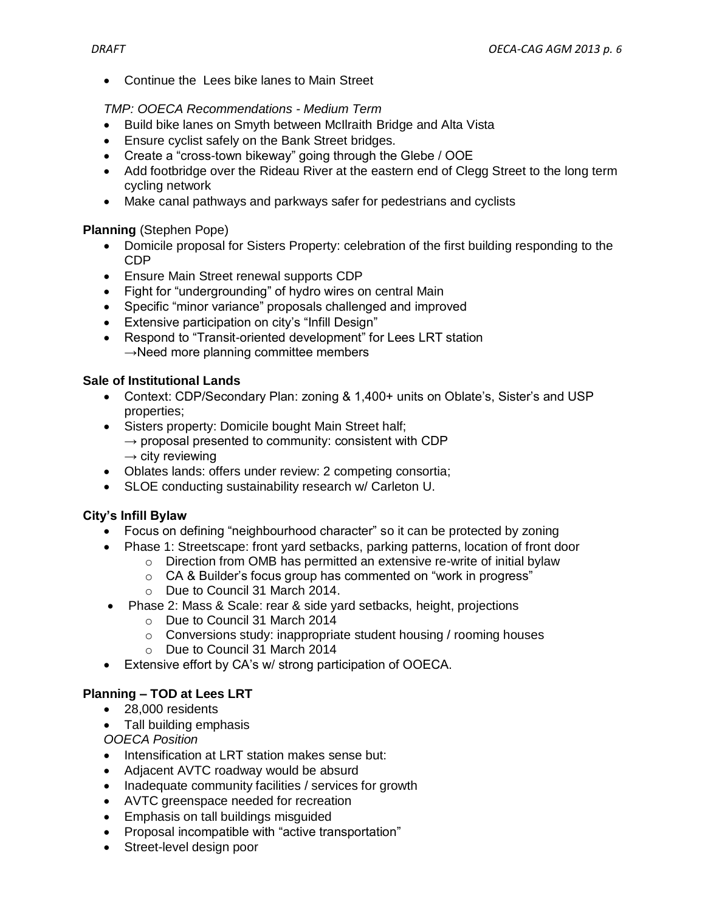• Continue the Lees bike lanes to Main Street

## *TMP: OOECA Recommendations - Medium Term*

- Build bike lanes on Smyth between McIlraith Bridge and Alta Vista
- Ensure cyclist safely on the Bank Street bridges.
- Create a "cross-town bikeway" going through the Glebe / OOE
- Add footbridge over the Rideau River at the eastern end of Clegg Street to the long term cycling network
- Make canal pathways and parkways safer for pedestrians and cyclists

## **Planning** (Stephen Pope)

- Domicile proposal for Sisters Property: celebration of the first building responding to the CDP
- Ensure Main Street renewal supports CDP
- Fight for "undergrounding" of hydro wires on central Main
- Specific "minor variance" proposals challenged and improved
- Extensive participation on city's "Infill Design"
- Respond to "Transit-oriented development" for Lees LRT station  $\rightarrow$ Need more planning committee members

## **Sale of Institutional Lands**

- Context: CDP/Secondary Plan: zoning & 1,400+ units on Oblate's, Sister's and USP properties;
- Sisters property: Domicile bought Main Street half;  $\rightarrow$  proposal presented to community: consistent with CDP  $\rightarrow$  city reviewing
- Oblates lands: offers under review: 2 competing consortia;
- SLOE conducting sustainability research w/ Carleton U.

## **City's Infill Bylaw**

- Focus on defining "neighbourhood character" so it can be protected by zoning
- Phase 1: Streetscape: front yard setbacks, parking patterns, location of front door
	- o Direction from OMB has permitted an extensive re-write of initial bylaw
		- o CA & Builder's focus group has commented on "work in progress"
		- o Due to Council 31 March 2014.
- Phase 2: Mass & Scale: rear & side yard setbacks, height, projections
	- o Due to Council 31 March 2014
	- o Conversions study: inappropriate student housing / rooming houses
	- o Due to Council 31 March 2014
- Extensive effort by CA's w/ strong participation of OOECA.

# **Planning – TOD at Lees LRT**

- 28,000 residents
- Tall building emphasis
- *OOECA Position*
- Intensification at LRT station makes sense but:
- Adjacent AVTC roadway would be absurd
- Inadequate community facilities / services for growth
- AVTC greenspace needed for recreation
- **Emphasis on tall buildings misguided**
- Proposal incompatible with "active transportation"
- Street-level design poor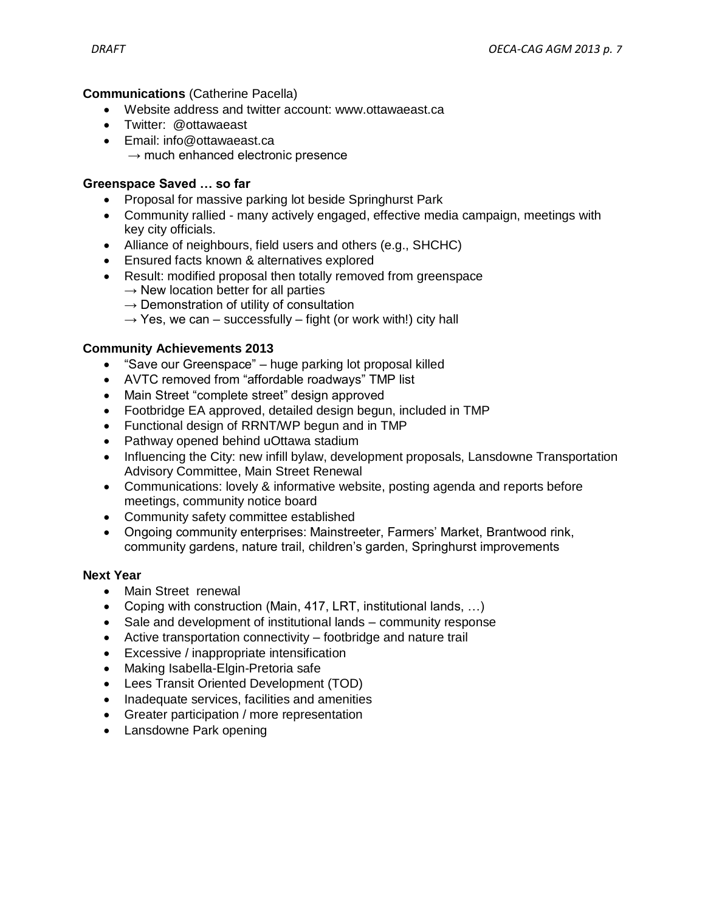#### **Communications** (Catherine Pacella)

- Website address and twitter account: www.ottawaeast.ca
- Twitter: @ottawaeast
- Email: info@ottawaeast.ca  $\rightarrow$  much enhanced electronic presence

#### **Greenspace Saved … so far**

- Proposal for massive parking lot beside Springhurst Park
- Community rallied many actively engaged, effective media campaign, meetings with key city officials.
- Alliance of neighbours, field users and others (e.g., SHCHC)
- Ensured facts known & alternatives explored
- Result: modified proposal then totally removed from greenspace
	- $\rightarrow$  New location better for all parties
	- $\rightarrow$  Demonstration of utility of consultation
	- $\rightarrow$  Yes, we can successfully fight (or work with!) city hall

#### **Community Achievements 2013**

- "Save our Greenspace" huge parking lot proposal killed
- AVTC removed from "affordable roadways" TMP list
- Main Street "complete street" design approved
- Footbridge EA approved, detailed design begun, included in TMP
- Functional design of RRNT/WP begun and in TMP
- Pathway opened behind uOttawa stadium
- Influencing the City: new infill bylaw, development proposals, Lansdowne Transportation Advisory Committee, Main Street Renewal
- Communications: lovely & informative website, posting agenda and reports before meetings, community notice board
- Community safety committee established
- Ongoing community enterprises: Mainstreeter, Farmers' Market, Brantwood rink, community gardens, nature trail, children's garden, Springhurst improvements

#### **Next Year**

- Main Street renewal
- Coping with construction (Main, 417, LRT, institutional lands, …)
- Sale and development of institutional lands community response
- Active transportation connectivity footbridge and nature trail
- Excessive / inappropriate intensification
- Making Isabella-Elgin-Pretoria safe
- Lees Transit Oriented Development (TOD)
- Inadequate services, facilities and amenities
- Greater participation / more representation
- Lansdowne Park opening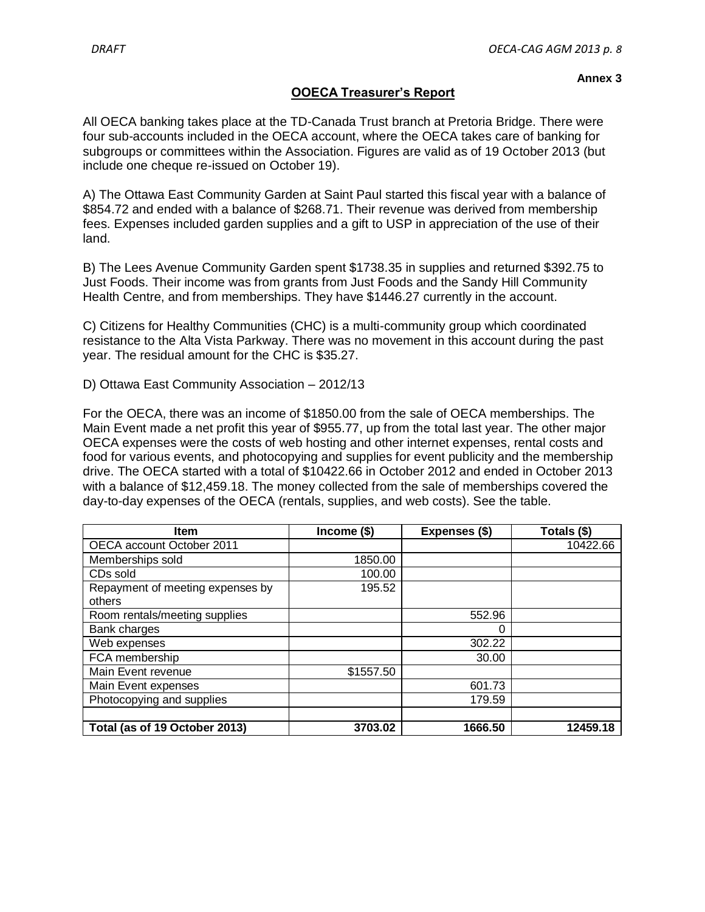#### **OOECA Treasurer's Report**

All OECA banking takes place at the TD-Canada Trust branch at Pretoria Bridge. There were four sub-accounts included in the OECA account, where the OECA takes care of banking for subgroups or committees within the Association. Figures are valid as of 19 October 2013 (but include one cheque re-issued on October 19).

A) The Ottawa East Community Garden at Saint Paul started this fiscal year with a balance of \$854.72 and ended with a balance of \$268.71. Their revenue was derived from membership fees. Expenses included garden supplies and a gift to USP in appreciation of the use of their land.

B) The Lees Avenue Community Garden spent \$1738.35 in supplies and returned \$392.75 to Just Foods. Their income was from grants from Just Foods and the Sandy Hill Community Health Centre, and from memberships. They have \$1446.27 currently in the account.

C) Citizens for Healthy Communities (CHC) is a multi-community group which coordinated resistance to the Alta Vista Parkway. There was no movement in this account during the past year. The residual amount for the CHC is \$35.27.

D) Ottawa East Community Association – 2012/13

For the OECA, there was an income of \$1850.00 from the sale of OECA memberships. The Main Event made a net profit this year of \$955.77, up from the total last year. The other major OECA expenses were the costs of web hosting and other internet expenses, rental costs and food for various events, and photocopying and supplies for event publicity and the membership drive. The OECA started with a total of \$10422.66 in October 2012 and ended in October 2013 with a balance of \$12,459.18. The money collected from the sale of memberships covered the day-to-day expenses of the OECA (rentals, supplies, and web costs). See the table.

| <b>Item</b>                      | $Income$ (\$) | Expenses (\$) | Totals (\$) |
|----------------------------------|---------------|---------------|-------------|
| OECA account October 2011        |               |               | 10422.66    |
| Memberships sold                 | 1850.00       |               |             |
| CDs sold                         | 100.00        |               |             |
| Repayment of meeting expenses by | 195.52        |               |             |
| others                           |               |               |             |
| Room rentals/meeting supplies    |               | 552.96        |             |
| Bank charges                     |               | 0             |             |
| Web expenses                     |               | 302.22        |             |
| FCA membership                   |               | 30.00         |             |
| Main Event revenue               | \$1557.50     |               |             |
| Main Event expenses              |               | 601.73        |             |
| Photocopying and supplies        |               | 179.59        |             |
|                                  |               |               |             |
| Total (as of 19 October 2013)    | 3703.02       | 1666.50       | 12459.18    |